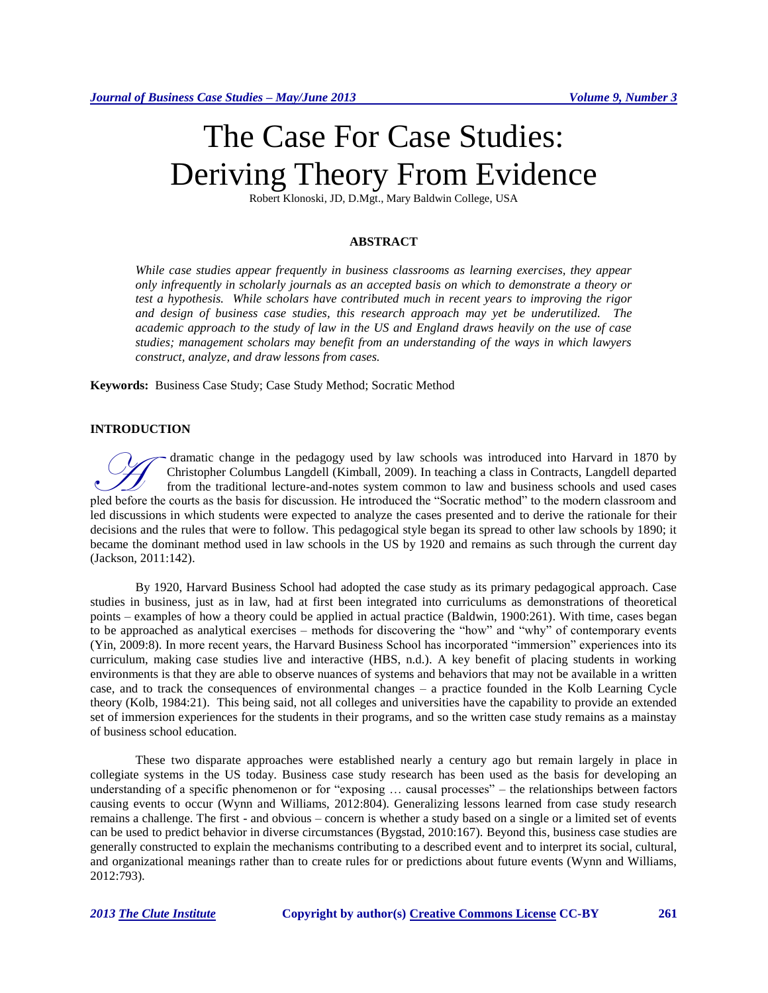# The Case For Case Studies: Deriving Theory From Evidence

Robert Klonoski, JD, D.Mgt., Mary Baldwin College, USA

## **ABSTRACT**

*While case studies appear frequently in business classrooms as learning exercises, they appear only infrequently in scholarly journals as an accepted basis on which to demonstrate a theory or test a hypothesis. While scholars have contributed much in recent years to improving the rigor and design of business case studies, this research approach may yet be underutilized. The academic approach to the study of law in the US and England draws heavily on the use of case studies; management scholars may benefit from an understanding of the ways in which lawyers construct, analyze, and draw lessons from cases.*

**Keywords:** Business Case Study; Case Study Method; Socratic Method

#### **INTRODUCTION**

dramatic change in the pedagogy used by law schools was introduced into Harvard in 1870 by Christopher Columbus Langdell (Kimball, 2009). In teaching a class in Contracts, Langdell departed from the traditional lecture-and-notes system common to law and business schools and used cases dramatic change in the pedagogy used by law schools was introduced into Harvard in 1870 by<br>Christopher Columbus Langdell (Kimball, 2009). In teaching a class in Contracts, Langdell departed<br>from the traditional lecture-and led discussions in which students were expected to analyze the cases presented and to derive the rationale for their decisions and the rules that were to follow. This pedagogical style began its spread to other law schools by 1890; it became the dominant method used in law schools in the US by 1920 and remains as such through the current day (Jackson, 2011:142).

By 1920, Harvard Business School had adopted the case study as its primary pedagogical approach. Case studies in business, just as in law, had at first been integrated into curriculums as demonstrations of theoretical points – examples of how a theory could be applied in actual practice (Baldwin, 1900:261). With time, cases began to be approached as analytical exercises – methods for discovering the "how" and "why" of contemporary events (Yin, 2009:8). In more recent years, the Harvard Business School has incorporated "immersion" experiences into its curriculum, making case studies live and interactive (HBS, n.d.). A key benefit of placing students in working environments is that they are able to observe nuances of systems and behaviors that may not be available in a written case, and to track the consequences of environmental changes – a practice founded in the Kolb Learning Cycle theory (Kolb, 1984:21). This being said, not all colleges and universities have the capability to provide an extended set of immersion experiences for the students in their programs, and so the written case study remains as a mainstay of business school education.

These two disparate approaches were established nearly a century ago but remain largely in place in collegiate systems in the US today. Business case study research has been used as the basis for developing an understanding of a specific phenomenon or for "exposing … causal processes" – the relationships between factors causing events to occur (Wynn and Williams, 2012:804). Generalizing lessons learned from case study research remains a challenge. The first - and obvious – concern is whether a study based on a single or a limited set of events can be used to predict behavior in diverse circumstances (Bygstad, 2010:167). Beyond this, business case studies are generally constructed to explain the mechanisms contributing to a described event and to interpret its social, cultural, and organizational meanings rather than to create rules for or predictions about future events (Wynn and Williams, 2012:793).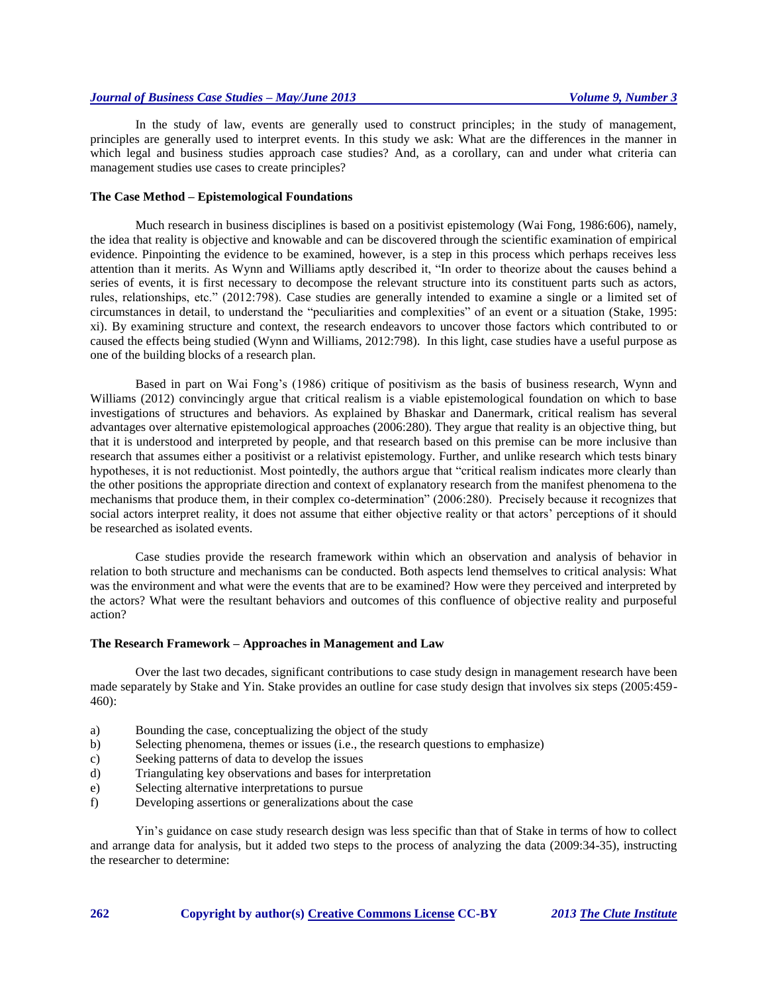## *Journal of Business Case Studies – May/June 2013 Volume 9, Number 3*

In the study of law, events are generally used to construct principles; in the study of management, principles are generally used to interpret events. In this study we ask: What are the differences in the manner in which legal and business studies approach case studies? And, as a corollary, can and under what criteria can management studies use cases to create principles?

#### **The Case Method – Epistemological Foundations**

Much research in business disciplines is based on a positivist epistemology (Wai Fong, 1986:606), namely, the idea that reality is objective and knowable and can be discovered through the scientific examination of empirical evidence. Pinpointing the evidence to be examined, however, is a step in this process which perhaps receives less attention than it merits. As Wynn and Williams aptly described it, "In order to theorize about the causes behind a series of events, it is first necessary to decompose the relevant structure into its constituent parts such as actors, rules, relationships, etc." (2012:798). Case studies are generally intended to examine a single or a limited set of circumstances in detail, to understand the "peculiarities and complexities" of an event or a situation (Stake, 1995: xi). By examining structure and context, the research endeavors to uncover those factors which contributed to or caused the effects being studied (Wynn and Williams, 2012:798). In this light, case studies have a useful purpose as one of the building blocks of a research plan.

Based in part on Wai Fong's (1986) critique of positivism as the basis of business research, Wynn and Williams (2012) convincingly argue that critical realism is a viable epistemological foundation on which to base investigations of structures and behaviors. As explained by Bhaskar and Danermark, critical realism has several advantages over alternative epistemological approaches (2006:280). They argue that reality is an objective thing, but that it is understood and interpreted by people, and that research based on this premise can be more inclusive than research that assumes either a positivist or a relativist epistemology. Further, and unlike research which tests binary hypotheses, it is not reductionist. Most pointedly, the authors argue that "critical realism indicates more clearly than the other positions the appropriate direction and context of explanatory research from the manifest phenomena to the mechanisms that produce them, in their complex co-determination" (2006:280). Precisely because it recognizes that social actors interpret reality, it does not assume that either objective reality or that actors' perceptions of it should be researched as isolated events.

Case studies provide the research framework within which an observation and analysis of behavior in relation to both structure and mechanisms can be conducted. Both aspects lend themselves to critical analysis: What was the environment and what were the events that are to be examined? How were they perceived and interpreted by the actors? What were the resultant behaviors and outcomes of this confluence of objective reality and purposeful action?

#### **The Research Framework – Approaches in Management and Law**

Over the last two decades, significant contributions to case study design in management research have been made separately by Stake and Yin. Stake provides an outline for case study design that involves six steps (2005:459- 460):

- a) Bounding the case, conceptualizing the object of the study
- b) Selecting phenomena, themes or issues (i.e., the research questions to emphasize)
- c) Seeking patterns of data to develop the issues
- d) Triangulating key observations and bases for interpretation
- e) Selecting alternative interpretations to pursue
- f) Developing assertions or generalizations about the case

Yin's guidance on case study research design was less specific than that of Stake in terms of how to collect and arrange data for analysis, but it added two steps to the process of analyzing the data (2009:34-35), instructing the researcher to determine:

**262 Copyright by author(s) [Creative Commons License](http://creativecommons.org/licenses/by/3.0/) CC-BY** *2013 [The Clute Institute](http://www.cluteinstitute.com/)*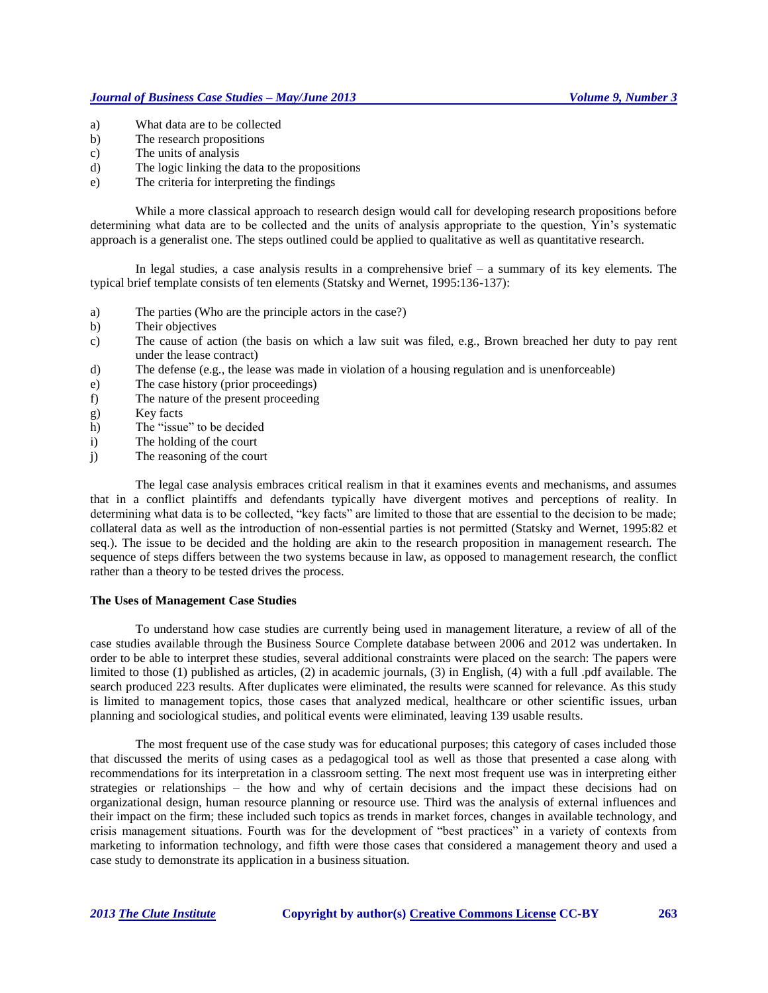- a) What data are to be collected
- b) The research propositions
- c) The units of analysis
- d) The logic linking the data to the propositions
- e) The criteria for interpreting the findings

While a more classical approach to research design would call for developing research propositions before determining what data are to be collected and the units of analysis appropriate to the question, Yin's systematic approach is a generalist one. The steps outlined could be applied to qualitative as well as quantitative research.

In legal studies, a case analysis results in a comprehensive brief – a summary of its key elements. The typical brief template consists of ten elements (Statsky and Wernet, 1995:136-137):

- a) The parties (Who are the principle actors in the case?)
- b) Their objectives
- c) The cause of action (the basis on which a law suit was filed, e.g., Brown breached her duty to pay rent under the lease contract)
- d) The defense (e.g., the lease was made in violation of a housing regulation and is unenforceable)
- e) The case history (prior proceedings)
- f) The nature of the present proceeding
- g) Key facts
- h) The "issue" to be decided
- i) The holding of the court
- j) The reasoning of the court

The legal case analysis embraces critical realism in that it examines events and mechanisms, and assumes that in a conflict plaintiffs and defendants typically have divergent motives and perceptions of reality. In determining what data is to be collected, "key facts" are limited to those that are essential to the decision to be made; collateral data as well as the introduction of non-essential parties is not permitted (Statsky and Wernet, 1995:82 et seq.). The issue to be decided and the holding are akin to the research proposition in management research. The sequence of steps differs between the two systems because in law, as opposed to management research, the conflict rather than a theory to be tested drives the process.

### **The Uses of Management Case Studies**

To understand how case studies are currently being used in management literature, a review of all of the case studies available through the Business Source Complete database between 2006 and 2012 was undertaken. In order to be able to interpret these studies, several additional constraints were placed on the search: The papers were limited to those (1) published as articles, (2) in academic journals, (3) in English, (4) with a full .pdf available. The search produced 223 results. After duplicates were eliminated, the results were scanned for relevance. As this study is limited to management topics, those cases that analyzed medical, healthcare or other scientific issues, urban planning and sociological studies, and political events were eliminated, leaving 139 usable results.

The most frequent use of the case study was for educational purposes; this category of cases included those that discussed the merits of using cases as a pedagogical tool as well as those that presented a case along with recommendations for its interpretation in a classroom setting. The next most frequent use was in interpreting either strategies or relationships – the how and why of certain decisions and the impact these decisions had on organizational design, human resource planning or resource use. Third was the analysis of external influences and their impact on the firm; these included such topics as trends in market forces, changes in available technology, and crisis management situations. Fourth was for the development of "best practices" in a variety of contexts from marketing to information technology, and fifth were those cases that considered a management theory and used a case study to demonstrate its application in a business situation.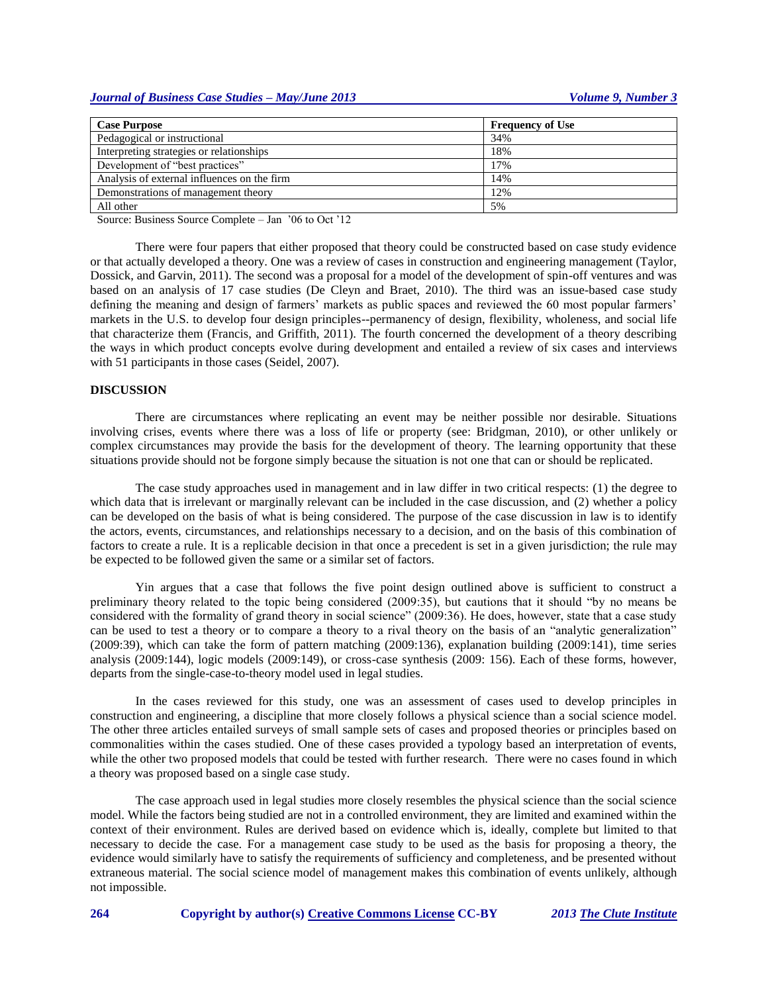| <b>Case Purpose</b>                         | <b>Frequency of Use</b> |
|---------------------------------------------|-------------------------|
| Pedagogical or instructional                | 34%                     |
| Interpreting strategies or relationships    | 18%                     |
| Development of "best practices"             | 17%                     |
| Analysis of external influences on the firm | 14%                     |
| Demonstrations of management theory         | 12%                     |
| All other                                   | 5%                      |

Source: Business Source Complete – Jan '06 to Oct '12

There were four papers that either proposed that theory could be constructed based on case study evidence or that actually developed a theory. One was a review of cases in construction and engineering management (Taylor, Dossick, and Garvin, 2011). The second was a proposal for a model of the development of spin-off ventures and was based on an analysis of 17 case studies (De Cleyn and Braet, 2010). The third was an issue-based case study defining the meaning and design of farmers' markets as public spaces and reviewed the 60 most popular farmers' markets in the U.S. to develop four design principles--permanency of design, flexibility, wholeness, and social life that characterize them (Francis, and Griffith, 2011). The fourth concerned the development of a theory describing the ways in which product concepts evolve during development and entailed a review of six cases and interviews with 51 participants in those cases (Seidel, 2007).

#### **DISCUSSION**

There are circumstances where replicating an event may be neither possible nor desirable. Situations involving crises, events where there was a loss of life or property (see: Bridgman, 2010), or other unlikely or complex circumstances may provide the basis for the development of theory. The learning opportunity that these situations provide should not be forgone simply because the situation is not one that can or should be replicated.

The case study approaches used in management and in law differ in two critical respects: (1) the degree to which data that is irrelevant or marginally relevant can be included in the case discussion, and (2) whether a policy can be developed on the basis of what is being considered. The purpose of the case discussion in law is to identify the actors, events, circumstances, and relationships necessary to a decision, and on the basis of this combination of factors to create a rule. It is a replicable decision in that once a precedent is set in a given jurisdiction; the rule may be expected to be followed given the same or a similar set of factors.

Yin argues that a case that follows the five point design outlined above is sufficient to construct a preliminary theory related to the topic being considered (2009:35), but cautions that it should "by no means be considered with the formality of grand theory in social science" (2009:36). He does, however, state that a case study can be used to test a theory or to compare a theory to a rival theory on the basis of an "analytic generalization" (2009:39), which can take the form of pattern matching (2009:136), explanation building (2009:141), time series analysis (2009:144), logic models (2009:149), or cross-case synthesis (2009: 156). Each of these forms, however, departs from the single-case-to-theory model used in legal studies.

In the cases reviewed for this study, one was an assessment of cases used to develop principles in construction and engineering, a discipline that more closely follows a physical science than a social science model. The other three articles entailed surveys of small sample sets of cases and proposed theories or principles based on commonalities within the cases studied. One of these cases provided a typology based an interpretation of events, while the other two proposed models that could be tested with further research. There were no cases found in which a theory was proposed based on a single case study.

The case approach used in legal studies more closely resembles the physical science than the social science model. While the factors being studied are not in a controlled environment, they are limited and examined within the context of their environment. Rules are derived based on evidence which is, ideally, complete but limited to that necessary to decide the case. For a management case study to be used as the basis for proposing a theory, the evidence would similarly have to satisfy the requirements of sufficiency and completeness, and be presented without extraneous material. The social science model of management makes this combination of events unlikely, although not impossible.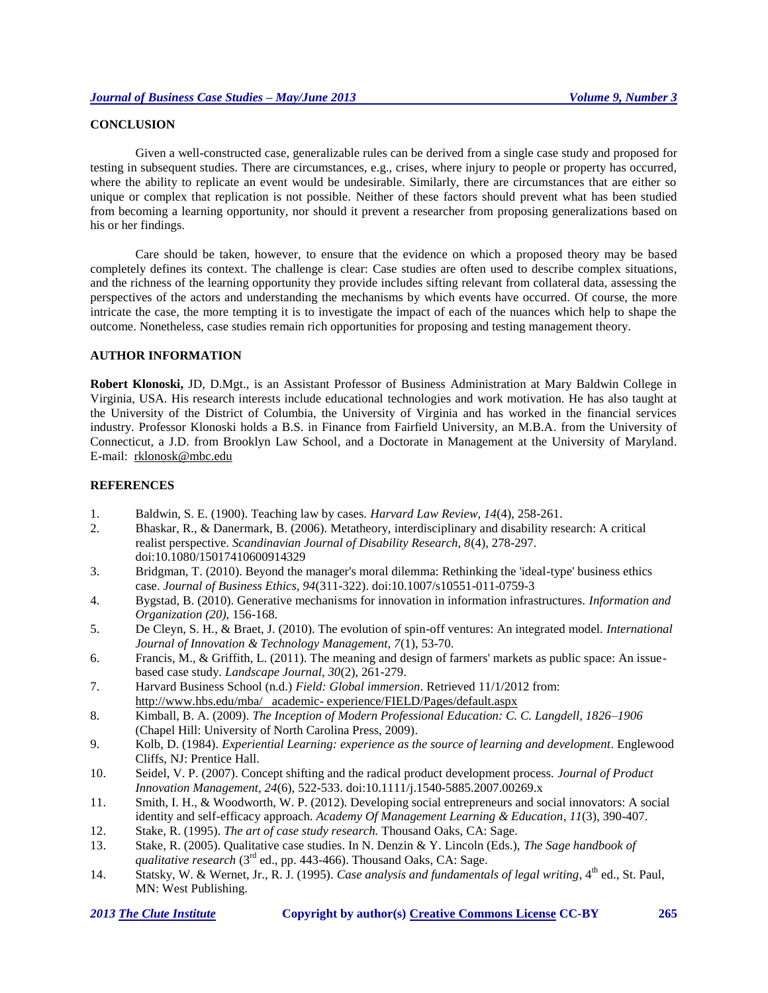## **CONCLUSION**

Given a well-constructed case, generalizable rules can be derived from a single case study and proposed for testing in subsequent studies. There are circumstances, e.g., crises, where injury to people or property has occurred, where the ability to replicate an event would be undesirable. Similarly, there are circumstances that are either so unique or complex that replication is not possible. Neither of these factors should prevent what has been studied from becoming a learning opportunity, nor should it prevent a researcher from proposing generalizations based on his or her findings.

Care should be taken, however, to ensure that the evidence on which a proposed theory may be based completely defines its context. The challenge is clear: Case studies are often used to describe complex situations, and the richness of the learning opportunity they provide includes sifting relevant from collateral data, assessing the perspectives of the actors and understanding the mechanisms by which events have occurred. Of course, the more intricate the case, the more tempting it is to investigate the impact of each of the nuances which help to shape the outcome. Nonetheless, case studies remain rich opportunities for proposing and testing management theory.

## **AUTHOR INFORMATION**

**Robert Klonoski,** JD, D.Mgt., is an Assistant Professor of Business Administration at Mary Baldwin College in Virginia, USA. His research interests include educational technologies and work motivation. He has also taught at the University of the District of Columbia, the University of Virginia and has worked in the financial services industry. Professor Klonoski holds a B.S. in Finance from Fairfield University, an M.B.A. from the University of Connecticut, a J.D. from Brooklyn Law School, and a Doctorate in Management at the University of Maryland. E-mail: [rklonosk@mbc.edu](mailto:rklonosk@mbc.edu)

#### **REFERENCES**

- 1. Baldwin, S. E. (1900). Teaching law by cases. *Harvard Law Review, 14*(4), 258-261.
- 2. Bhaskar, R., & Danermark, B. (2006). Metatheory, interdisciplinary and disability research: A critical realist perspective. *Scandinavian Journal of Disability Research, 8*(4), 278-297. doi:10.1080/15017410600914329
- 3. Bridgman, T. (2010). Beyond the manager's moral dilemma: Rethinking the 'ideal-type' business ethics case. *Journal of Business Ethics, 94*(311-322). doi:10.1007/s10551-011-0759-3
- 4. Bygstad, B. (2010). Generative mechanisms for innovation in information infrastructures. *Information and Organization (20),* 156-168.
- 5. De Cleyn, S. H., & Braet, J. (2010). The evolution of spin-off ventures: An integrated model. *International Journal of Innovation & Technology Management, 7*(1), 53-70.
- 6. Francis, M., & Griffith, L. (2011). The meaning and design of farmers' markets as public space: An issuebased case study. *Landscape Journal, 30*(2), 261-279.
- 7. Harvard Business School (n.d.) *Field: Global immersion*. Retrieved 11/1/2012 from: http://www.hbs.edu/mba/ academic- experience/FIELD/Pages/default.aspx
- 8. Kimball, B. A. (2009). *The Inception of Modern Professional Education: C. C. Langdell, 1826–1906*  (Chapel Hill: University of North Carolina Press, 2009).
- 9. Kolb, D. (1984). *Experiential Learning: experience as the source of learning and development*. Englewood Cliffs, NJ: Prentice Hall.
- 10. Seidel, V. P. (2007). Concept shifting and the radical product development process. *Journal of Product Innovation Management, 24*(6), 522-533. doi:10.1111/j.1540-5885.2007.00269.x
- 11. Smith, I. H., & Woodworth, W. P. (2012). Developing social entrepreneurs and social innovators: A social identity and self-efficacy approach. *Academy Of Management Learning & Education*, *11*(3), 390-407.
- 12. Stake, R. (1995). *The art of case study research.* Thousand Oaks, CA: Sage.
- 13. Stake, R. (2005). Qualitative case studies. In N. Denzin & Y. Lincoln (Eds.), *The Sage handbook of qualitative research* (3<sup>rd</sup> ed., pp. 443-466). Thousand Oaks, CA: Sage.
- 14. Statsky, W. & Wernet, Jr., R. J. (1995). *Case analysis and fundamentals of legal writing*, 4th ed., St. Paul, MN: West Publishing.